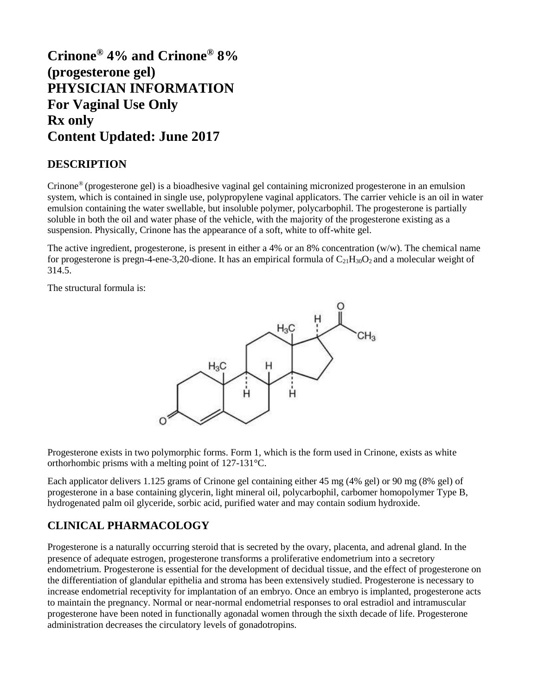# **Crinone® 4% and Crinone® 8% (progesterone gel) PHYSICIAN INFORMATION For Vaginal Use Only Rx only Content Updated: June 2017**

## **DESCRIPTION**

Crinone® (progesterone gel) is a bioadhesive vaginal gel containing micronized progesterone in an emulsion system, which is contained in single use, polypropylene vaginal applicators. The carrier vehicle is an oil in water emulsion containing the water swellable, but insoluble polymer, polycarbophil. The progesterone is partially soluble in both the oil and water phase of the vehicle, with the majority of the progesterone existing as a suspension. Physically, Crinone has the appearance of a soft, white to off-white gel.

The active ingredient, progesterone, is present in either a 4% or an 8% concentration (w/w). The chemical name for progesterone is pregn-4-ene-3,20-dione. It has an empirical formula of  $C_{21}H_{30}O_2$  and a molecular weight of 314.5.

The structural formula is:



Progesterone exists in two polymorphic forms. Form 1, which is the form used in Crinone, exists as white orthorhombic prisms with a melting point of 127-131°C.

Each applicator delivers 1.125 grams of Crinone gel containing either 45 mg (4% gel) or 90 mg (8% gel) of progesterone in a base containing glycerin, light mineral oil, polycarbophil, carbomer homopolymer Type B, hydrogenated palm oil glyceride, sorbic acid, purified water and may contain sodium hydroxide.

## **CLINICAL PHARMACOLOGY**

Progesterone is a naturally occurring steroid that is secreted by the ovary, placenta, and adrenal gland. In the presence of adequate estrogen, progesterone transforms a proliferative endometrium into a secretory endometrium. Progesterone is essential for the development of decidual tissue, and the effect of progesterone on the differentiation of glandular epithelia and stroma has been extensively studied. Progesterone is necessary to increase endometrial receptivity for implantation of an embryo. Once an embryo is implanted, progesterone acts to maintain the pregnancy. Normal or near-normal endometrial responses to oral estradiol and intramuscular progesterone have been noted in functionally agonadal women through the sixth decade of life. Progesterone administration decreases the circulatory levels of gonadotropins.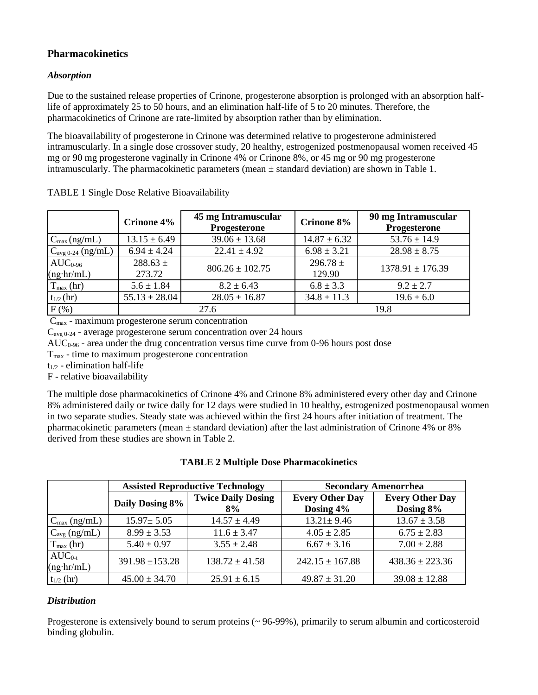## **Pharmacokinetics**

### *Absorption*

Due to the sustained release properties of Crinone, progesterone absorption is prolonged with an absorption halflife of approximately 25 to 50 hours, and an elimination half-life of 5 to 20 minutes. Therefore, the pharmacokinetics of Crinone are rate-limited by absorption rather than by elimination.

The bioavailability of progesterone in Crinone was determined relative to progesterone administered intramuscularly. In a single dose crossover study, 20 healthy, estrogenized postmenopausal women received 45 mg or 90 mg progesterone vaginally in Crinone 4% or Crinone 8%, or 45 mg or 90 mg progesterone intramuscularly. The pharmacokinetic parameters (mean  $\pm$  standard deviation) are shown in Table 1.

|                                | Crinone 4%             | 45 mg Intramuscular<br>Progesterone | Crinone 8%             | 90 mg Intramuscular<br>Progesterone |
|--------------------------------|------------------------|-------------------------------------|------------------------|-------------------------------------|
| $C_{\text{max}}$ (ng/mL)       | $13.15 \pm 6.49$       | $39.06 \pm 13.68$                   | $14.87 \pm 6.32$       | $53.76 \pm 14.9$                    |
| $C_{\text{avg 0-24}}$ (ng/mL)  | $6.94 \pm 4.24$        | $22.41 \pm 4.92$                    | $6.98 \pm 3.21$        | $28.98 \pm 8.75$                    |
| $AUC0-96$<br>$(ng\cdot hr/mL)$ | $288.63 \pm$<br>273.72 | $806.26 \pm 102.75$                 | $296.78 \pm$<br>129.90 | $1378.91 \pm 176.39$                |
| $T_{\text{max}}$ (hr)          | $5.6 \pm 1.84$         | $8.2 \pm 6.43$                      | $6.8 \pm 3.3$          | $9.2 \pm 2.7$                       |
| $t_{1/2}$ (hr)                 | $55.13 \pm 28.04$      | $28.05 \pm 16.87$                   | $34.8 \pm 11.3$        | $19.6 \pm 6.0$                      |
| $F(\%)$                        |                        | 27.6                                |                        | 19.8                                |

TABLE 1 Single Dose Relative Bioavailability

 $C_{\text{max}}$  - maximum progesterone serum concentration

Cavg 0-24 - average progesterone serum concentration over 24 hours

AUC0-96 - area under the drug concentration versus time curve from 0-96 hours post dose

Tmax - time to maximum progesterone concentration

 $t_{1/2}$  - elimination half-life

F - relative bioavailability

The multiple dose pharmacokinetics of Crinone 4% and Crinone 8% administered every other day and Crinone 8% administered daily or twice daily for 12 days were studied in 10 healthy, estrogenized postmenopausal women in two separate studies. Steady state was achieved within the first 24 hours after initiation of treatment. The pharmacokinetic parameters (mean ± standard deviation) after the last administration of Crinone 4% or 8% derived from these studies are shown in Table 2.

| <b>TABLE 2 Multiple Dose Pharmacokinetics</b> |  |
|-----------------------------------------------|--|
|-----------------------------------------------|--|

|                                  | <b>Assisted Reproductive Technology</b> |                                 | <b>Secondary Amenorrhea</b>         |                                     |
|----------------------------------|-----------------------------------------|---------------------------------|-------------------------------------|-------------------------------------|
|                                  | Daily Dosing 8%                         | <b>Twice Daily Dosing</b><br>8% | <b>Every Other Day</b><br>Dosing 4% | <b>Every Other Day</b><br>Dosing 8% |
| $C_{\text{max}}$ (ng/mL)         | $15.97 \pm 5.05$                        | $14.57 \pm 4.49$                | $13.21 \pm 9.46$                    | $13.67 \pm 3.58$                    |
| $C_{\text{avg}}$ (ng/mL)         | $8.99 \pm 3.53$                         | $11.6 \pm 3.47$                 | $4.05 \pm 2.85$                     | $6.75 \pm 2.83$                     |
| $T_{\text{max}}$ (hr)            | $5.40 \pm 0.97$                         | $3.55 \pm 2.48$                 | $6.67 \pm 3.16$                     | $7.00 \pm 2.88$                     |
| $AUC_{0-t}$<br>$(ng\cdot hr/mL)$ | $391.98 \pm 153.28$                     | $138.72 \pm 41.58$              | $242.15 \pm 167.88$                 | $438.36 \pm 223.36$                 |
| $t_{1/2}$ (hr)                   | $45.00 \pm 34.70$                       | $25.91 \pm 6.15$                | $49.87 \pm 31.20$                   | $39.08 \pm 12.88$                   |

### *Distribution*

Progesterone is extensively bound to serum proteins (~ 96-99%), primarily to serum albumin and corticosteroid binding globulin.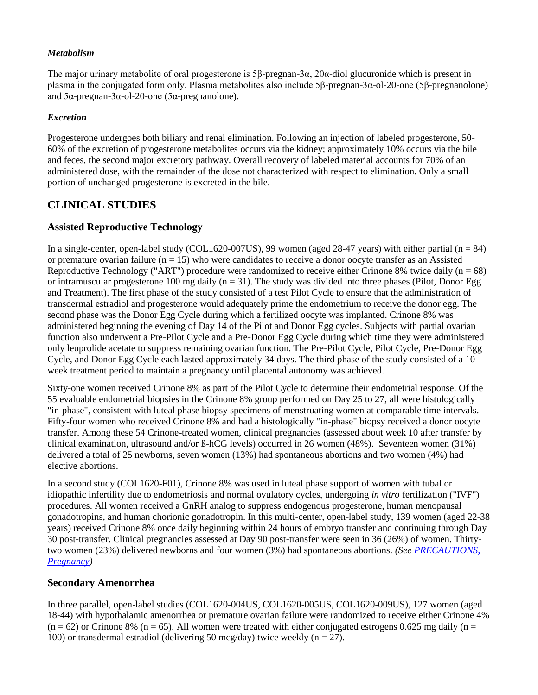#### *Metabolism*

The major urinary metabolite of oral progesterone is 5β-pregnan-3α, 20α-diol glucuronide which is present in plasma in the conjugated form only. Plasma metabolites also include 5β-pregnan-3α-ol-20-one (5β-pregnanolone) and 5α-pregnan-3α-ol-20-one (5α-pregnanolone).

#### *Excretion*

Progesterone undergoes both biliary and renal elimination. Following an injection of labeled progesterone, 50- 60% of the excretion of progesterone metabolites occurs via the kidney; approximately 10% occurs via the bile and feces, the second major excretory pathway. Overall recovery of labeled material accounts for 70% of an administered dose, with the remainder of the dose not characterized with respect to elimination. Only a small portion of unchanged progesterone is excreted in the bile.

## **CLINICAL STUDIES**

### **Assisted Reproductive Technology**

In a single-center, open-label study (COL1620-007US), 99 women (aged 28-47 years) with either partial (n = 84) or premature ovarian failure  $(n = 15)$  who were candidates to receive a donor oocyte transfer as an Assisted Reproductive Technology ("ART") procedure were randomized to receive either Crinone 8% twice daily ( $n = 68$ ) or intramuscular progesterone 100 mg daily ( $n = 31$ ). The study was divided into three phases (Pilot, Donor Egg and Treatment). The first phase of the study consisted of a test Pilot Cycle to ensure that the administration of transdermal estradiol and progesterone would adequately prime the endometrium to receive the donor egg. The second phase was the Donor Egg Cycle during which a fertilized oocyte was implanted. Crinone 8% was administered beginning the evening of Day 14 of the Pilot and Donor Egg cycles. Subjects with partial ovarian function also underwent a Pre-Pilot Cycle and a Pre-Donor Egg Cycle during which time they were administered only leuprolide acetate to suppress remaining ovarian function. The Pre-Pilot Cycle, Pilot Cycle, Pre-Donor Egg Cycle, and Donor Egg Cycle each lasted approximately 34 days. The third phase of the study consisted of a 10 week treatment period to maintain a pregnancy until placental autonomy was achieved.

Sixty-one women received Crinone 8% as part of the Pilot Cycle to determine their endometrial response. Of the 55 evaluable endometrial biopsies in the Crinone 8% group performed on Day 25 to 27, all were histologically "in-phase", consistent with luteal phase biopsy specimens of menstruating women at comparable time intervals. Fifty-four women who received Crinone 8% and had a histologically "in-phase" biopsy received a donor oocyte transfer. Among these 54 Crinone-treated women, clinical pregnancies (assessed about week 10 after transfer by clinical examination, ultrasound and/or ß-hCG levels) occurred in 26 women (48%). Seventeen women (31%) delivered a total of 25 newborns, seven women (13%) had spontaneous abortions and two women (4%) had elective abortions.

In a second study (COL1620-F01), Crinone 8% was used in luteal phase support of women with tubal or idiopathic infertility due to endometriosis and normal ovulatory cycles, undergoing *in vitro* fertilization ("IVF") procedures. All women received a GnRH analog to suppress endogenous progesterone, human menopausal gonadotropins, and human chorionic gonadotropin. In this multi-center, open-label study, 139 women (aged 22-38 years) received Crinone 8% once daily beginning within 24 hours of embryo transfer and continuing through Day 30 post-transfer. Clinical pregnancies assessed at Day 90 post-transfer were seen in 36 (26%) of women. Thirtytwo women (23%) delivered newborns and four women (3%) had spontaneous abortions. *(See [PRECAUTIONS,](file://///frxwf002/vol2/Njo-sysdata/share/REGAFFRS/Labeling/Crinone%20gel/spl/LINK_f2a85167-1a89-4015-b56c-2e377f00cf40)  [Pregnancy\)](file://///frxwf002/vol2/Njo-sysdata/share/REGAFFRS/Labeling/Crinone%20gel/spl/LINK_f2a85167-1a89-4015-b56c-2e377f00cf40)*

### **Secondary Amenorrhea**

In three parallel, open-label studies (COL1620-004US, COL1620-005US, COL1620-009US), 127 women (aged 18-44) with hypothalamic amenorrhea or premature ovarian failure were randomized to receive either Crinone 4%  $(n = 62)$  or Crinone 8%  $(n = 65)$ . All women were treated with either conjugated estrogens 0.625 mg daily  $(n = 62)$ 100) or transdermal estradiol (delivering 50 mcg/day) twice weekly ( $n = 27$ ).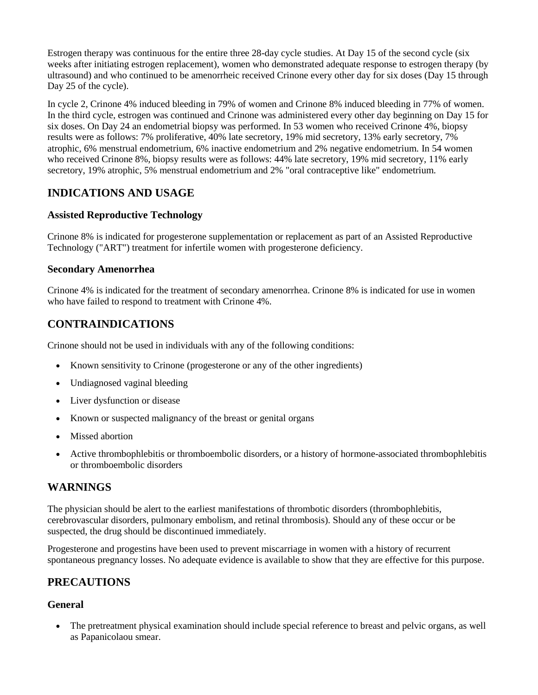Estrogen therapy was continuous for the entire three 28-day cycle studies. At Day 15 of the second cycle (six weeks after initiating estrogen replacement), women who demonstrated adequate response to estrogen therapy (by ultrasound) and who continued to be amenorrheic received Crinone every other day for six doses (Day 15 through Day 25 of the cycle).

In cycle 2, Crinone 4% induced bleeding in 79% of women and Crinone 8% induced bleeding in 77% of women. In the third cycle, estrogen was continued and Crinone was administered every other day beginning on Day 15 for six doses. On Day 24 an endometrial biopsy was performed. In 53 women who received Crinone 4%, biopsy results were as follows: 7% proliferative, 40% late secretory, 19% mid secretory, 13% early secretory, 7% atrophic, 6% menstrual endometrium, 6% inactive endometrium and 2% negative endometrium. In 54 women who received Crinone 8%, biopsy results were as follows: 44% late secretory, 19% mid secretory, 11% early secretory, 19% atrophic, 5% menstrual endometrium and 2% "oral contraceptive like" endometrium.

## **INDICATIONS AND USAGE**

### **Assisted Reproductive Technology**

Crinone 8% is indicated for progesterone supplementation or replacement as part of an Assisted Reproductive Technology ("ART") treatment for infertile women with progesterone deficiency.

### **Secondary Amenorrhea**

Crinone 4% is indicated for the treatment of secondary amenorrhea. Crinone 8% is indicated for use in women who have failed to respond to treatment with Crinone 4%.

## **CONTRAINDICATIONS**

Crinone should not be used in individuals with any of the following conditions:

- Known sensitivity to Crinone (progesterone or any of the other ingredients)
- Undiagnosed vaginal bleeding
- Liver dysfunction or disease
- Known or suspected malignancy of the breast or genital organs
- Missed abortion
- Active thrombophlebitis or thromboembolic disorders, or a history of hormone-associated thrombophlebitis or thromboembolic disorders

## **WARNINGS**

The physician should be alert to the earliest manifestations of thrombotic disorders (thrombophlebitis, cerebrovascular disorders, pulmonary embolism, and retinal thrombosis). Should any of these occur or be suspected, the drug should be discontinued immediately.

Progesterone and progestins have been used to prevent miscarriage in women with a history of recurrent spontaneous pregnancy losses. No adequate evidence is available to show that they are effective for this purpose.

## **PRECAUTIONS**

### **General**

 The pretreatment physical examination should include special reference to breast and pelvic organs, as well as Papanicolaou smear.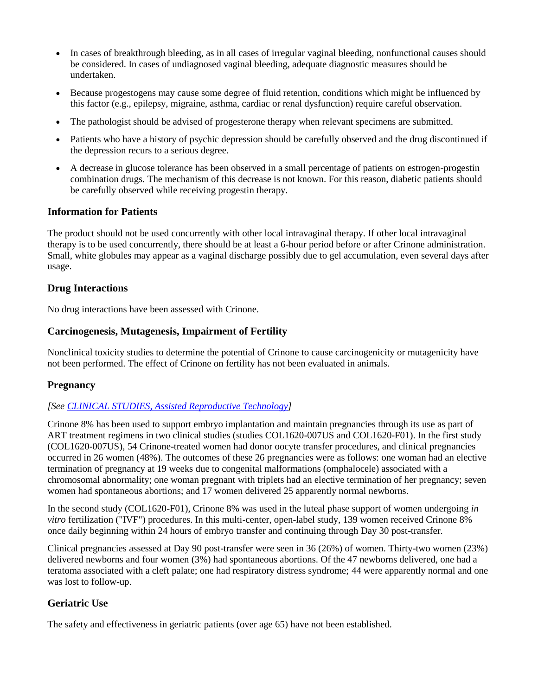- In cases of breakthrough bleeding, as in all cases of irregular vaginal bleeding, nonfunctional causes should be considered. In cases of undiagnosed vaginal bleeding, adequate diagnostic measures should be undertaken.
- Because progestogens may cause some degree of fluid retention, conditions which might be influenced by this factor (e.g., epilepsy, migraine, asthma, cardiac or renal dysfunction) require careful observation.
- The pathologist should be advised of progesterone therapy when relevant specimens are submitted.
- Patients who have a history of psychic depression should be carefully observed and the drug discontinued if the depression recurs to a serious degree.
- A decrease in glucose tolerance has been observed in a small percentage of patients on estrogen-progestin combination drugs. The mechanism of this decrease is not known. For this reason, diabetic patients should be carefully observed while receiving progestin therapy.

### **Information for Patients**

The product should not be used concurrently with other local intravaginal therapy. If other local intravaginal therapy is to be used concurrently, there should be at least a 6-hour period before or after Crinone administration. Small, white globules may appear as a vaginal discharge possibly due to gel accumulation, even several days after usage.

#### **Drug Interactions**

No drug interactions have been assessed with Crinone.

#### **Carcinogenesis, Mutagenesis, Impairment of Fertility**

Nonclinical toxicity studies to determine the potential of Crinone to cause carcinogenicity or mutagenicity have not been performed. The effect of Crinone on fertility has not been evaluated in animals.

#### **Pregnancy**

#### *[See [CLINICAL STUDIES, Assisted Reproductive Technology\]](https://www.splportal.com/r4/LINK_f36203c6-3635-4b35-92d7-bb155f0c0843)*

Crinone 8% has been used to support embryo implantation and maintain pregnancies through its use as part of ART treatment regimens in two clinical studies (studies COL1620-007US and COL1620-F01). In the first study (COL1620-007US), 54 Crinone-treated women had donor oocyte transfer procedures, and clinical pregnancies occurred in 26 women (48%). The outcomes of these 26 pregnancies were as follows: one woman had an elective termination of pregnancy at 19 weeks due to congenital malformations (omphalocele) associated with a chromosomal abnormality; one woman pregnant with triplets had an elective termination of her pregnancy; seven women had spontaneous abortions; and 17 women delivered 25 apparently normal newborns.

In the second study (COL1620-F01), Crinone 8% was used in the luteal phase support of women undergoing *in vitro* fertilization ("IVF") procedures. In this multi-center, open-label study, 139 women received Crinone 8% once daily beginning within 24 hours of embryo transfer and continuing through Day 30 post-transfer.

Clinical pregnancies assessed at Day 90 post-transfer were seen in 36 (26%) of women. Thirty-two women (23%) delivered newborns and four women (3%) had spontaneous abortions. Of the 47 newborns delivered, one had a teratoma associated with a cleft palate; one had respiratory distress syndrome; 44 were apparently normal and one was lost to follow-up.

### **Geriatric Use**

The safety and effectiveness in geriatric patients (over age 65) have not been established.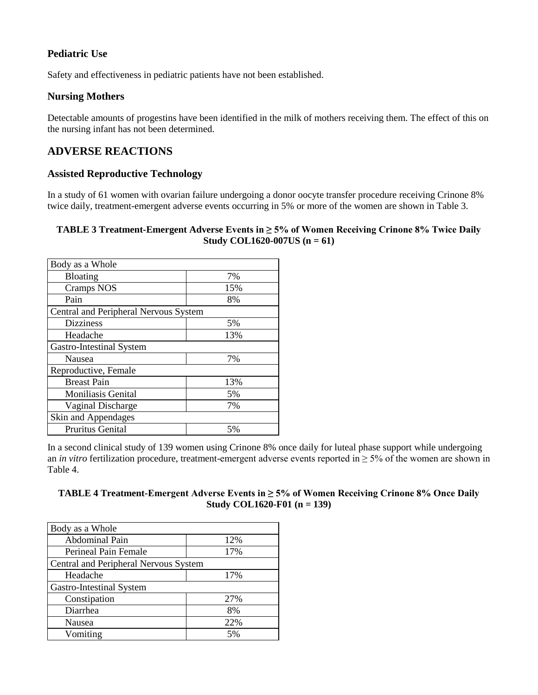## **Pediatric Use**

Safety and effectiveness in pediatric patients have not been established.

### **Nursing Mothers**

Detectable amounts of progestins have been identified in the milk of mothers receiving them. The effect of this on the nursing infant has not been determined.

## **ADVERSE REACTIONS**

### **Assisted Reproductive Technology**

In a study of 61 women with ovarian failure undergoing a donor oocyte transfer procedure receiving Crinone 8% twice daily, treatment-emergent adverse events occurring in 5% or more of the women are shown in Table 3.

#### **TABLE 3 Treatment-Emergent Adverse Events in ≥ 5% of Women Receiving Crinone 8% Twice Daily Study COL1620-007US (n = 61)**

| Body as a Whole                       |     |
|---------------------------------------|-----|
| <b>Bloating</b>                       | 7%  |
| <b>Cramps NOS</b>                     | 15% |
| Pain                                  | 8%  |
| Central and Peripheral Nervous System |     |
| <b>Dizziness</b>                      | 5%  |
| Headache                              | 13% |
| Gastro-Intestinal System              |     |
| <b>Nausea</b>                         | 7%  |
| Reproductive, Female                  |     |
| <b>Breast Pain</b>                    | 13% |
| <b>Moniliasis Genital</b>             | 5%  |
| <b>Vaginal Discharge</b>              | 7%  |
| Skin and Appendages                   |     |
| Pruritus Genital                      | 5%  |

In a second clinical study of 139 women using Crinone 8% once daily for luteal phase support while undergoing an *in vitro* fertilization procedure, treatment-emergent adverse events reported in ≥ 5% of the women are shown in Table 4.

### **TABLE 4 Treatment-Emergent Adverse Events in ≥ 5% of Women Receiving Crinone 8% Once Daily Study COL1620-F01 (n = 139)**

| Body as a Whole                       |     |
|---------------------------------------|-----|
| Abdominal Pain                        | 12% |
| Perineal Pain Female                  | 17% |
| Central and Peripheral Nervous System |     |
| Headache                              | 17% |
| Gastro-Intestinal System              |     |
| Constipation                          | 27% |
| Diarrhea                              | 8%  |
| Nausea                                | 22% |
| Vomiting                              | 5%  |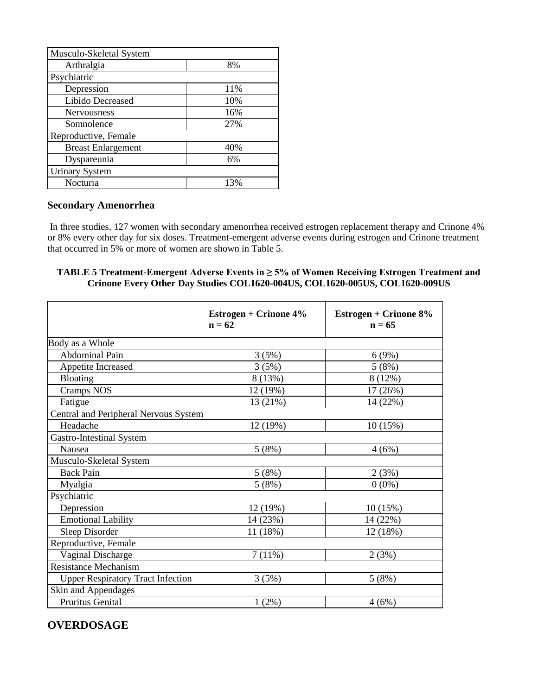| Musculo-Skeletal System   |     |  |
|---------------------------|-----|--|
| Arthralgia                | 8%  |  |
| Psychiatric               |     |  |
| Depression                | 11% |  |
| Libido Decreased          | 10% |  |
| <b>Nervousness</b>        | 16% |  |
| Somnolence                | 27% |  |
| Reproductive, Female      |     |  |
| <b>Breast Enlargement</b> | 40% |  |
| Dyspareunia               | 6%  |  |
| <b>Urinary System</b>     |     |  |
| Nocturia                  | 13% |  |

## **Secondary Amenorrhea**

In three studies, 127 women with secondary amenorrhea received estrogen replacement therapy and Crinone 4% or 8% every other day for six doses. Treatment-emergent adverse events during estrogen and Crinone treatment that occurred in 5% or more of women are shown in Table 5.

### **TABLE 5 Treatment-Emergent Adverse Events in ≥ 5% of Women Receiving Estrogen Treatment and Crinone Every Other Day Studies COL1620-004US, COL1620-005US, COL1620-009US**

|                                          | <b>Estrogen + Crinone 4%</b><br>$n = 62$ | Estrogen + Crinone 8%<br>$n = 65$ |
|------------------------------------------|------------------------------------------|-----------------------------------|
| Body as a Whole                          |                                          |                                   |
| Abdominal Pain                           | 3(5%)                                    | 6(9%)                             |
| Appetite Increased                       | 3(5%)                                    | 5(8%)                             |
| Bloating                                 | 8 (13%)                                  | 8 (12%)                           |
| <b>Cramps NOS</b>                        | 12 (19%)                                 | 17 (26%)                          |
| Fatigue                                  | 13 (21%)                                 | 14 (22%)                          |
| Central and Peripheral Nervous System    |                                          |                                   |
| Headache                                 | 12 (19%)                                 | 10(15%)                           |
| Gastro-Intestinal System                 |                                          |                                   |
| <b>Nausea</b>                            | 5(8%)                                    | 4(6%)                             |
| Musculo-Skeletal System                  |                                          |                                   |
| <b>Back Pain</b>                         | 5(8%)                                    | 2(3%)                             |
| Myalgia                                  | 5(8%)                                    | $0(0\%)$                          |
| Psychiatric                              |                                          |                                   |
| Depression                               | 12 (19%)                                 | 10(15%)                           |
| <b>Emotional Lability</b>                | 14 (23%)                                 | 14 (22%)                          |
| Sleep Disorder                           | 11 (18%)                                 | 12 (18%)                          |
| Reproductive, Female                     |                                          |                                   |
| Vaginal Discharge                        | 7(11%)                                   | 2(3%)                             |
| <b>Resistance Mechanism</b>              |                                          |                                   |
| <b>Upper Respiratory Tract Infection</b> | 3(5%)                                    | 5(8%)                             |
| Skin and Appendages                      |                                          |                                   |
| Pruritus Genital                         | 1(2%)                                    | 4(6%)                             |

## **OVERDOSAGE**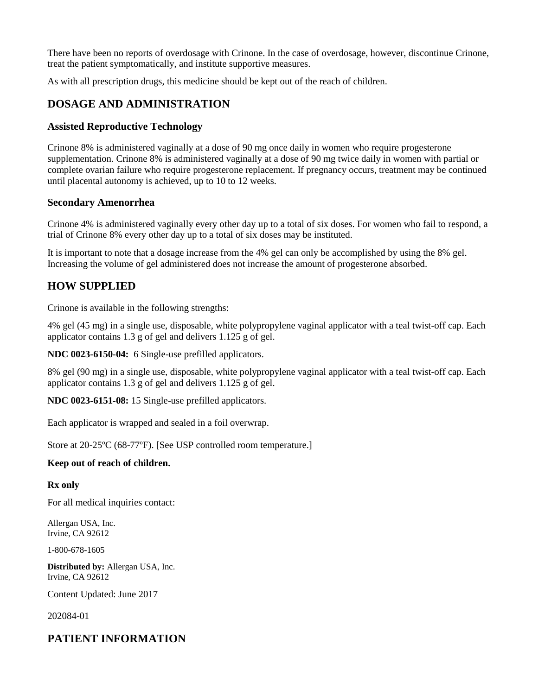There have been no reports of overdosage with Crinone. In the case of overdosage, however, discontinue Crinone, treat the patient symptomatically, and institute supportive measures.

As with all prescription drugs, this medicine should be kept out of the reach of children.

## **DOSAGE AND ADMINISTRATION**

### **Assisted Reproductive Technology**

Crinone 8% is administered vaginally at a dose of 90 mg once daily in women who require progesterone supplementation. Crinone 8% is administered vaginally at a dose of 90 mg twice daily in women with partial or complete ovarian failure who require progesterone replacement. If pregnancy occurs, treatment may be continued until placental autonomy is achieved, up to 10 to 12 weeks.

### **Secondary Amenorrhea**

Crinone 4% is administered vaginally every other day up to a total of six doses. For women who fail to respond, a trial of Crinone 8% every other day up to a total of six doses may be instituted.

It is important to note that a dosage increase from the 4% gel can only be accomplished by using the 8% gel. Increasing the volume of gel administered does not increase the amount of progesterone absorbed.

## **HOW SUPPLIED**

Crinone is available in the following strengths:

4% gel (45 mg) in a single use, disposable, white polypropylene vaginal applicator with a teal twist-off cap. Each applicator contains 1.3 g of gel and delivers 1.125 g of gel.

**NDC 0023-6150-04:** 6 Single-use prefilled applicators.

8% gel (90 mg) in a single use, disposable, white polypropylene vaginal applicator with a teal twist-off cap. Each applicator contains 1.3 g of gel and delivers 1.125 g of gel.

**NDC 0023-6151-08:** 15 Single-use prefilled applicators.

Each applicator is wrapped and sealed in a foil overwrap.

Store at 20-25ºC (68-77ºF). [See USP controlled room temperature.]

#### **Keep out of reach of children.**

#### **Rx only**

For all medical inquiries contact:

Allergan USA, Inc. Irvine, CA 92612

1-800-678-1605

**Distributed by:** Allergan USA, Inc. Irvine, CA 92612

Content Updated: June 2017

202084-01

## **PATIENT INFORMATION**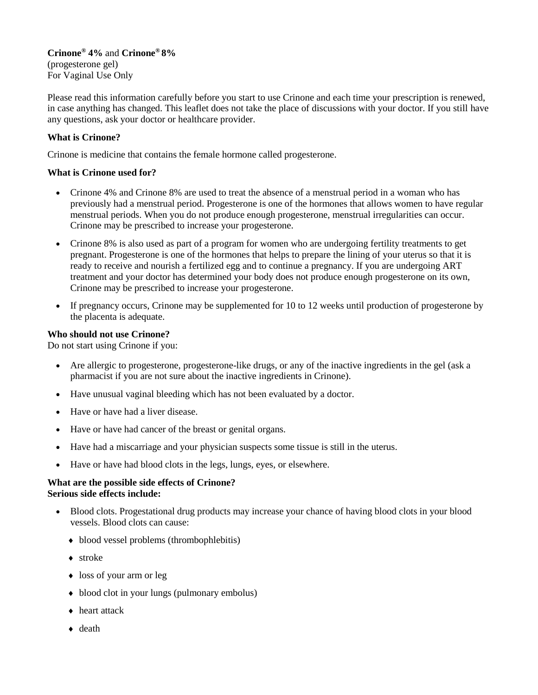### **Crinone® 4%** and **Crinone® 8%** (progesterone gel)

For Vaginal Use Only

Please read this information carefully before you start to use Crinone and each time your prescription is renewed, in case anything has changed. This leaflet does not take the place of discussions with your doctor. If you still have any questions, ask your doctor or healthcare provider.

### **What is Crinone?**

Crinone is medicine that contains the female hormone called progesterone.

#### **What is Crinone used for?**

- Crinone 4% and Crinone 8% are used to treat the absence of a menstrual period in a woman who has previously had a menstrual period. Progesterone is one of the hormones that allows women to have regular menstrual periods. When you do not produce enough progesterone, menstrual irregularities can occur. Crinone may be prescribed to increase your progesterone.
- Crinone 8% is also used as part of a program for women who are undergoing fertility treatments to get pregnant. Progesterone is one of the hormones that helps to prepare the lining of your uterus so that it is ready to receive and nourish a fertilized egg and to continue a pregnancy. If you are undergoing ART treatment and your doctor has determined your body does not produce enough progesterone on its own, Crinone may be prescribed to increase your progesterone.
- If pregnancy occurs, Crinone may be supplemented for 10 to 12 weeks until production of progesterone by the placenta is adequate.

#### **Who should not use Crinone?**

Do not start using Crinone if you:

- Are allergic to progesterone, progesterone-like drugs, or any of the inactive ingredients in the gel (ask a pharmacist if you are not sure about the inactive ingredients in Crinone).
- Have unusual vaginal bleeding which has not been evaluated by a doctor.
- Have or have had a liver disease.
- Have or have had cancer of the breast or genital organs.
- Have had a miscarriage and your physician suspects some tissue is still in the uterus.
- Have or have had blood clots in the legs, lungs, eyes, or elsewhere.

#### **What are the possible side effects of Crinone? Serious side effects include:**

- Blood clots. Progestational drug products may increase your chance of having blood clots in your blood vessels. Blood clots can cause:
	- blood vessel problems (thrombophlebitis)
	- stroke
	- loss of your arm or leg
	- blood clot in your lungs (pulmonary embolus)
	- heart attack
	- ◆ death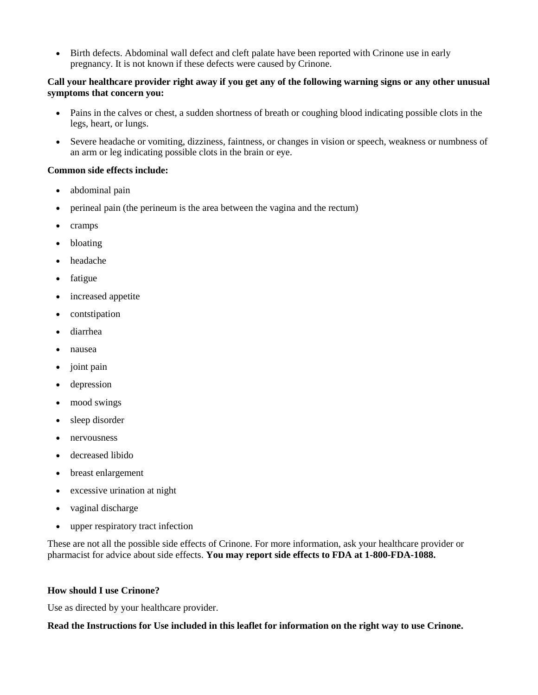• Birth defects. Abdominal wall defect and cleft palate have been reported with Crinone use in early pregnancy. It is not known if these defects were caused by Crinone.

#### **Call your healthcare provider right away if you get any of the following warning signs or any other unusual symptoms that concern you:**

- Pains in the calves or chest, a sudden shortness of breath or coughing blood indicating possible clots in the legs, heart, or lungs.
- Severe headache or vomiting, dizziness, faintness, or changes in vision or speech, weakness or numbness of an arm or leg indicating possible clots in the brain or eye.

#### **Common side effects include:**

- abdominal pain
- perineal pain (the perineum is the area between the vagina and the rectum)
- cramps
- bloating
- headache
- fatigue
- increased appetite
- contstipation
- diarrhea
- nausea
- joint pain
- depression
- mood swings
- sleep disorder
- nervousness
- decreased libido
- breast enlargement
- excessive urination at night
- vaginal discharge
- upper respiratory tract infection

These are not all the possible side effects of Crinone. For more information, ask your healthcare provider or pharmacist for advice about side effects. **You may report side effects to FDA at 1-800-FDA-1088.**

#### **How should I use Crinone?**

Use as directed by your healthcare provider.

**Read the Instructions for Use included in this leaflet for information on the right way to use Crinone.**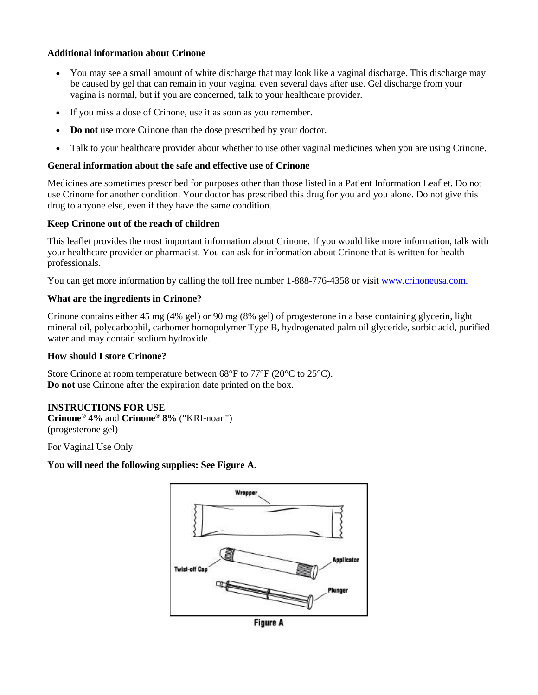#### **Additional information about Crinone**

- You may see a small amount of white discharge that may look like a vaginal discharge. This discharge may be caused by gel that can remain in your vagina, even several days after use. Gel discharge from your vagina is normal, but if you are concerned, talk to your healthcare provider.
- If you miss a dose of Crinone, use it as soon as you remember.
- **Do not** use more Crinone than the dose prescribed by your doctor.
- Talk to your healthcare provider about whether to use other vaginal medicines when you are using Crinone.

#### **General information about the safe and effective use of Crinone**

Medicines are sometimes prescribed for purposes other than those listed in a Patient Information Leaflet. Do not use Crinone for another condition. Your doctor has prescribed this drug for you and you alone. Do not give this drug to anyone else, even if they have the same condition.

#### **Keep Crinone out of the reach of children**

This leaflet provides the most important information about Crinone. If you would like more information, talk with your healthcare provider or pharmacist. You can ask for information about Crinone that is written for health professionals.

You can get more information by calling the toll free number 1-888-776-4358 or visit [www.crinoneusa.com.](http://www.crinoneusa.com/)

#### **What are the ingredients in Crinone?**

Crinone contains either 45 mg (4% gel) or 90 mg (8% gel) of progesterone in a base containing glycerin, light mineral oil, polycarbophil, carbomer homopolymer Type B, hydrogenated palm oil glyceride, sorbic acid, purified water and may contain sodium hydroxide.

#### **How should I store Crinone?**

Store Crinone at room temperature between 68°F to 77°F (20°C to 25°C). **Do not** use Crinone after the expiration date printed on the box.

### **INSTRUCTIONS FOR USE**

**Crinone® 4%** and **Crinone® 8%** ("KRI-noan") (progesterone gel)

For Vaginal Use Only

#### **You will need the following supplies: See Figure A.**



**Figure A**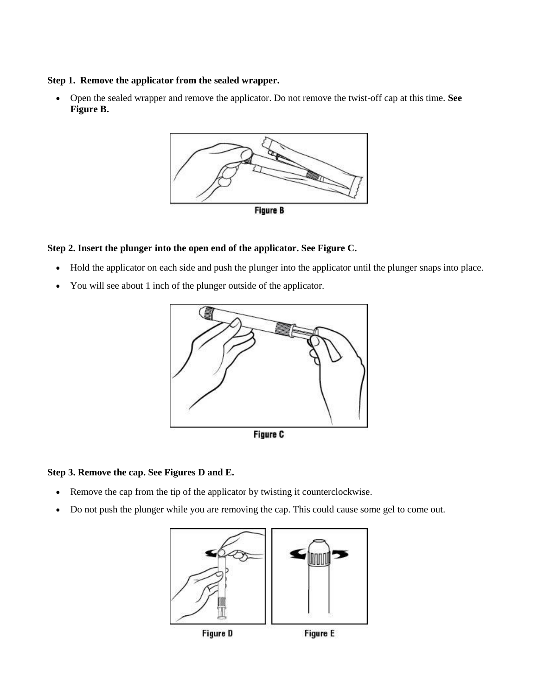#### **Step 1. Remove the applicator from the sealed wrapper.**

 Open the sealed wrapper and remove the applicator. Do not remove the twist-off cap at this time. **See Figure B.**



#### **Step 2. Insert the plunger into the open end of the applicator. See Figure C.**

- Hold the applicator on each side and push the plunger into the applicator until the plunger snaps into place.
- You will see about 1 inch of the plunger outside of the applicator.



#### **Step 3. Remove the cap. See Figures D and E.**

- Remove the cap from the tip of the applicator by twisting it counterclockwise.
- Do not push the plunger while you are removing the cap. This could cause some gel to come out.

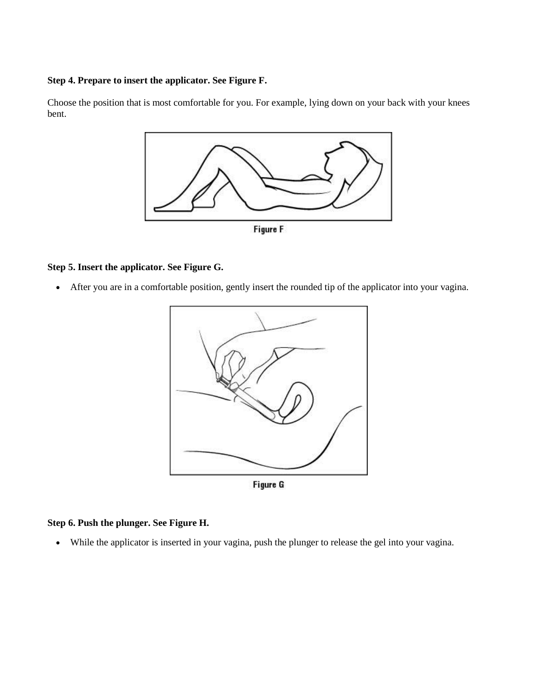### **Step 4. Prepare to insert the applicator. See Figure F.**

Choose the position that is most comfortable for you. For example, lying down on your back with your knees bent.



## **Step 5. Insert the applicator. See Figure G.**

After you are in a comfortable position, gently insert the rounded tip of the applicator into your vagina.



Figure G

#### **Step 6. Push the plunger. See Figure H.**

While the applicator is inserted in your vagina, push the plunger to release the gel into your vagina.